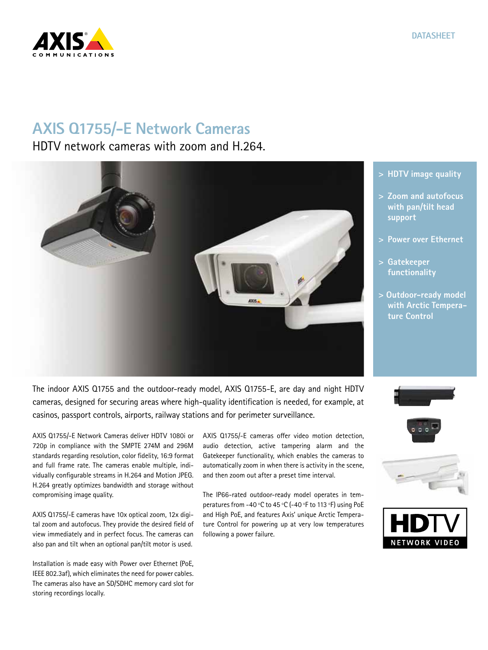## **AXIS Q1755/-E Network Cameras**

HDTV network cameras with zoom and H.264.

The indoor AXIS Q1755 and the outdoor-ready model, AXIS Q1755-E, are day and night HDTV cameras, designed for securing areas where high-quality identification is needed, for example, at casinos, passport controls, airports, railway stations and for perimeter surveillance.

AXIS Q1755/-E Network Cameras deliver HDTV 1080i or 720p in compliance with the SMPTE 274M and 296M standards regarding resolution, color fidelity, 16:9 format and full frame rate. The cameras enable multiple, individually configurable streams in H.264 and Motion JPEG. H.264 greatly optimizes bandwidth and storage without compromising image quality.

AXIS Q1755/-E cameras have 10x optical zoom, 12x digital zoom and autofocus. They provide the desired field of view immediately and in perfect focus. The cameras can also pan and tilt when an optional pan/tilt motor is used.

Installation is made easy with Power over Ethernet (PoE, IEEE 802.3af), which eliminates the need for power cables. The cameras also have an SD/SDHC memory card slot for storing recordings locally.

AXIS Q1755/-E cameras offer video motion detection, audio detection, active tampering alarm and the Gatekeeper functionality, which enables the cameras to automatically zoom in when there is activity in the scene, and then zoom out after a preset time interval.

The IP66-rated outdoor-ready model operates in temperatures from -40 ºC to 45 ºC (-40 ºF to 113 ºF) using PoE and High PoE, and features Axis' unique Arctic Temperature Control for powering up at very low temperatures following a power failure.

- **> HDTV image quality**
- **> Zoom and autofocus with pan/tilt head support**
- **> Power over Ethernet**
- **> Gatekeeper functionality**
- **> Outdoor-ready model with Arctic Temperature Control**